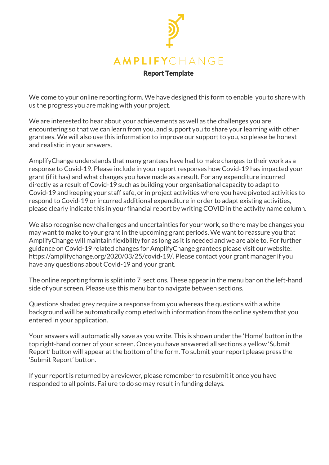

Welcome to your online reporting form. We have designed this form to enable you to share with us the progress you are making with your project.

We are interested to hear about your achievements as well as the challenges you are encountering so that we can learn from you, and support you to share your learning with other grantees. We will also use this information to improve our support to you, so please be honest and realistic in your answers.

AmplifyChange understands that many grantees have had to make changes to their work as a response to Covid-19. Please include in your report responses how Covid-19 has impacted your grant (if it has) and what changes you have made as a result. For any expenditure incurred directly as a result of Covid-19 such as building your organisational capacity to adapt to Covid-19 and keeping your staff safe, or in project activities where you have pivoted activities to respond to Covid-19 or incurred additional expenditure in order to adapt existing activities, please clearly indicate this in your financial report by writing COVID in the activity name column.

We also recognise new challenges and uncertainties for your work, so there may be changes you may want to make to your grant in the upcoming grant periods. We want to reassure you that AmplifyChange will maintain flexibility for as long as it is needed and we are able to. For further guidance on Covid-19 related changes for AmplifyChange grantees please visit our website: https://amplifychange.org/2020/03/25/covid-19/. Please contact your grant manager if you have any questions about Covid-19 and your grant.

The online reporting form is split into 7 sections. These appear in the menu bar on the left-hand side of your screen. Please use this menu bar to navigate between sections.

Questions shaded grey require a response from you whereas the questions with a white background will be automatically completed with information from the online system that you entered in your application.

Your answers will automatically save as you write. This is shown under the 'Home' button in the top right-hand corner of your screen. Once you have answered all sections a yellow 'Submit Report' button will appear at the bottom of the form. To submit your report please press the 'Submit Report' button.

If your report is returned by a reviewer, please remember to resubmit it once you have responded to all points. Failure to do so may result in funding delays.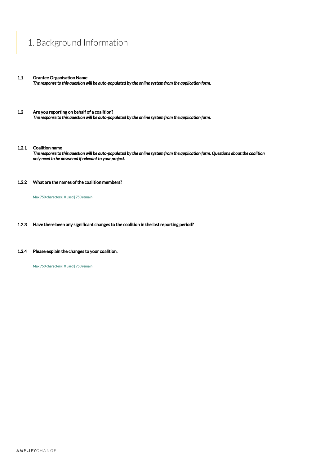## 1. Background Information

- 1.1 Grantee Organisation Name *The response to this question will be auto-populated by the online system from the application form.*
- 1.2 Are you reporting on behalf of a coalition? *The response to this question will be auto-populated by the online system from the application form.*
- 1.2.1 Coalition name

*The response to this question will be auto-populated by the online system from the application form. Questions about the coalition only need to be answered if relevant to your project.*

1.2.2 What are the names of the coalition members?

Max 750 characters | 0 used | 750 remain

- 1.2.3 Have there been any significant changes to the coalition in the last reporting period?
- 1.2.4 Please explain the changes to your coalition.

Max 750 characters | 0 used | 750 remain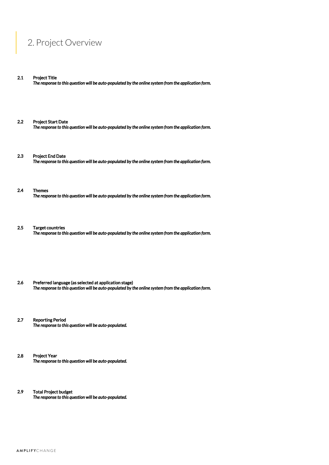## 2. Project Overview

2.1 Project Title

*The response to this question will be auto-populated by the online system from the application form.*

- 2.2 Project Start Date *The response to this question will be auto-populated by the online system from the application form.*
- 2.3 Project End Date *The response to this question will be auto-populated by the online system from the application form.*
- 2.4 Themes *The response to this question will be auto-populated by the online system from the application form.*
- 2.5 Target countries *The response to this question will be auto-populated by the online system from the application form.*
- 2.6 Preferred language (as selected at application stage) *The response to this question will be auto-populated by the online system from the application form.*
- 2.7 Reporting Period *The response to this question will be auto-populated.*
- 2.8 Project Year *The response to this question will be auto-populated.*
- 2.9 Total Project budget *The response to this question will be auto-populated.*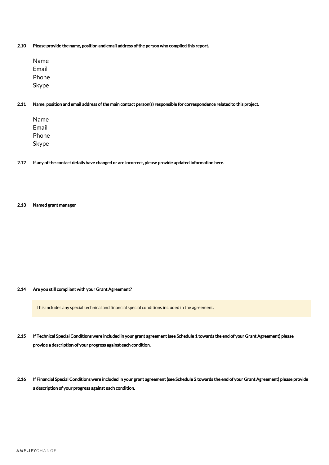2.10 Please provide the name, position and email address of the person who compiled this report.

Name Email Phone Skype

- 2.11 Name, position and email address of the main contact person(s) responsible for correspondence related to this project.
	- Name Email Phone Skype
- 2.12 If any of the contact details have changed or are incorrect, please provide updated information here.
- 2.13 Named grant manager

### 2.14 Are you still compliant with your Grant Agreement?

This includes any special technical and financial special conditions included in the agreement.

- 2.15 If Technical Special Conditions were included in your grant agreement (see Schedule 1 towards the end of your Grant Agreement) please provide a description of your progress against each condition.
- 2.16 If Financial Special Conditions were included in your grant agreement (see Schedule 2 towards the end of your Grant Agreement) please provide a description of your progress against each condition.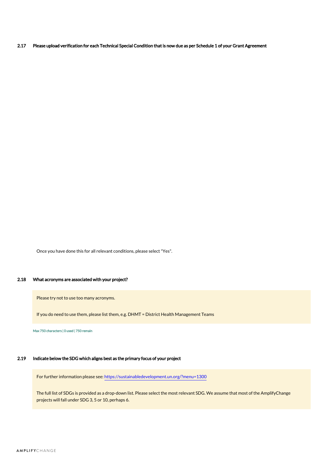2.17 Please upload verification for each Technical Special Condition that is now due as per Schedule 1 of your Grant Agreement

Once you have done this for all relevant conditions, please select "Yes".

### 2.18 What acronyms are associated with your project?

Please try not to use too many acronyms.

If you do need to use them, please list them, e.g. DHMT = District Health Management Teams

Max 750 characters | 0 used | 750 remain

### 2.19 Indicate below the SDG which aligns best as the primary focus of your project

For further information please see: <https://sustainabledevelopment.un.org/?menu=1300>

The full list of SDGs is provided as a drop-down list. Please select the most relevant SDG. We assume that most of the AmplifyChange projects will fall under SDG 3, 5 or 10, perhaps 6.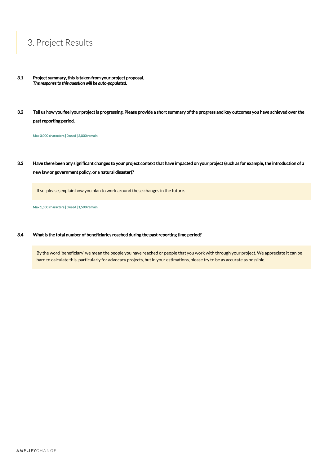# 3. Project Results

- 3.1 Project summary, this is taken from your project proposal. *The response to this question will be auto-populated.*
- 3.2 Tell us how you feel your project is progressing. Please provide a short summary of the progress and key outcomes you have achieved over the past reporting period.

Max 3,000 characters | 0 used | 3,000 remain

3.3 Have there been any significant changes to your project context that have impacted on your project (such as for example, the introduction of a new law or government policy, or a natural disaster)?

If so, please, explain how you plan to work around these changes in the future.

Max 1,500 characters | 0 used | 1,500 remain

### 3.4 What is the total number of beneficiaries reached during the past reporting time period?

By the word 'beneficiary' we mean the people you have reached or people that you work with through your project. We appreciate it can be hard to calculate this, particularly for advocacy projects, but in your estimations, please try to be as accurate as possible.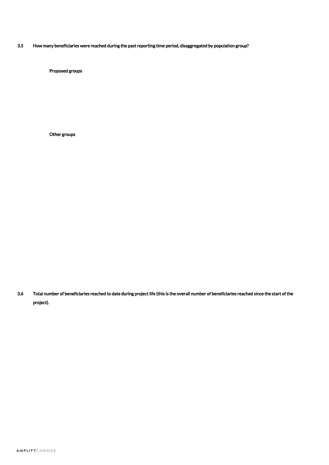3.5 How many beneficiaries were reached during the past reporting time period, disaggregated by population group?

Proposed groups

Other groups

3.6 Total number of beneficiaries reached to date during project life (this is the overall number of beneficiaries reached since the start of the project).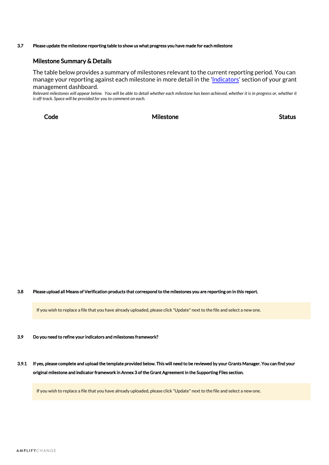### 3.7 Please update the milestone reporting table to show us what progress you have made for each milestone

### Milestone Summary & Details

The table below provides a summary of milestones relevant to the current reporting period. You can manage your reporting against each milestone in more detail in the '[Indicators](https://grants.amplifychange.org/grants/overview/XHYQ-NG22-P3/indicators/)' section of your grant management dashboard.

Relevant milestones will appear below. You will be able to detail whether each milestone has been achieved, whether it is in progress or, whether it *is off-track. Space will be provided for you to comment on each.*

Code and Status and Milestone Status Status Status

3.8 Please upload all Means of Verification products that correspond to the milestones you are reporting on in this report.

If you wish to replace a file that you have already uploaded, please click "Update" next to the file and select a new one.

3.9 Do you need to refine your indicators and milestones framework?

3.9.1 If yes, please complete and upload the template provided below. This will need to be reviewed by your Grants Manager. You can find your original milestone and indicator framework in Annex 3 of the Grant Agreement in the Supporting Files section.

If you wish to replace a file that you have already uploaded, please click "Update" next to the file and select a new one.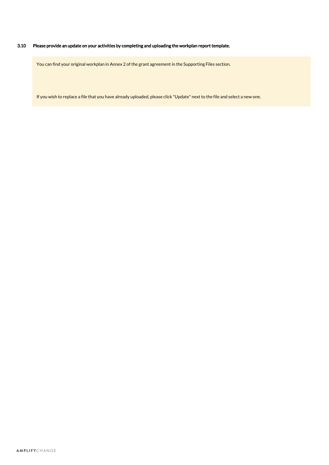### 3.10 Please provide an update on your activities by completing and uploading the workplan report template.

You can find your original workplan in Annex 2 of the grant agreement in the Supporting Files section.

If you wish to replace a file that you have already uploaded, please click "Update" next to the file and select a new one.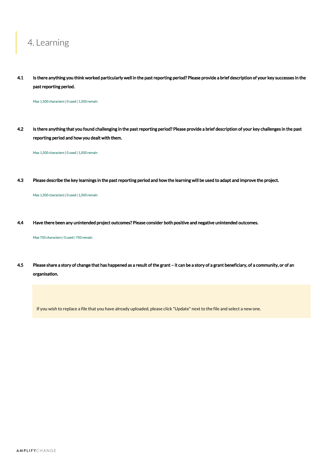## 4. Learning

4.1 Is there anything you think worked particularly well in the past reporting period? Please provide a brief description of your key successes in the past reporting period.

Max 1,500 characters | 0 used | 1,500 remain

4.2 Is there anything that you found challenging in the past reporting period? Please provide a brief description of your key challenges in the past reporting period and how you dealt with them.

Max 1,500 characters | 0 used | 1,500 remain

4.3 Please describe the key learnings in the past reporting period and how the learning will be used to adapt and improve the project.

Max 1,500 characters | 0 used | 1,500 remain

4.4 Have there been any unintended project outcomes? Please consider both positive and negative unintended outcomes.

Max 750 characters | 0 used | 750 remain

4.5 Please share a story of change that has happened as a result of the grant – it can be a story of a grant beneficiary, of a community, or of an organisation.

If you wish to replace a file that you have already uploaded, please click "Update" next to the file and select a new one.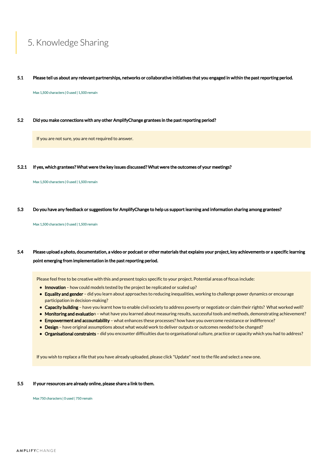# 5. Knowledge Sharing

5.1 Please tell us about any relevant partnerships, networks or collaborative initiatives that you engaged in within the past reporting period.

Max 1,500 characters | 0 used | 1,500 remain

5.2 Did you make connections with any other AmplifyChange grantees in the past reporting period?

If you are not sure, you are not required to answer.

5.2.1 If yes, which grantees? What were the key issues discussed? What were the outcomes of your meetings?

Max 1,500 characters | 0 used | 1,500 remain

5.3 Do you have any feedback or suggestions for AmplifyChange to help us support learning and information sharing among grantees?

Max 1,500 characters | 0 used | 1,500 remain

### 5.4 Please upload a photo, documentation, a video or podcast or other materials that explains your project, key achievements or a specific learning point emerging from implementation in the past reporting period.

Please feel free to be creative with this and present topics specific to your project. Potential areas of focus include:

- Innovation how could models tested by the project be replicated or scaled up?
- Equality and gender did you learn about approaches to reducing inequalities, working to challenge power dynamics or encourage participation in decision-making?
- Capacity building have you learnt how to enable civil society to address poverty or negotiate or claim their rights? What worked well?
- Monitoring and evaluation what have you learned about measuring results, successful tools and methods, demonstrating achievement?
- Empowerment and accountability what enhances these processes? how have you overcome resistance or indifference?
- Design have original assumptions about what would work to deliver outputs or outcomes needed to be changed?
- Organisational constraints did you encounter difficulties due to organisational culture, practice or capacity which you had to address?

If you wish to replace a file that you have already uploaded, please click "Update" next to the file and select a new one.

### 5.5 If your resources are already online, please share a link to them.

Max 750 characters | 0 used | 750 remain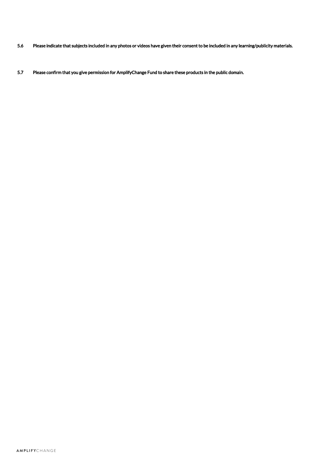- 5.6 Please indicate that subjects included in any photos or videos have given their consent to be included in any learning/publicity materials.
- 5.7 Please confirm that you give permission for AmplifyChange Fund to share these products in the public domain.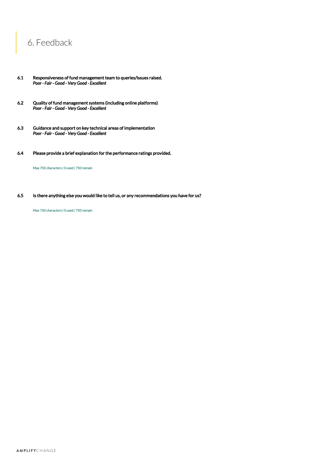# 6. Feedback

- 6.1 Responsiveness of fund management team to queries/issues raised. *Poor - Fair - Good - Very Good - Excellent*
- 6.2 Quality of fund management systems (including online platforms) *Poor - Fair - Good - Very Good - Excellent*
- 6.3 Guidance and support on key technical areas of implementation *Poor - Fair - Good - Very Good - Excellent*
- 6.4 Please provide a brief explanation for the performance ratings provided.

Max 750 characters | 0 used | 750 remain

6.5 Is there anything else you would like to tell us, or any recommendations you have for us?

Max 750 characters | 0 used | 750 remain